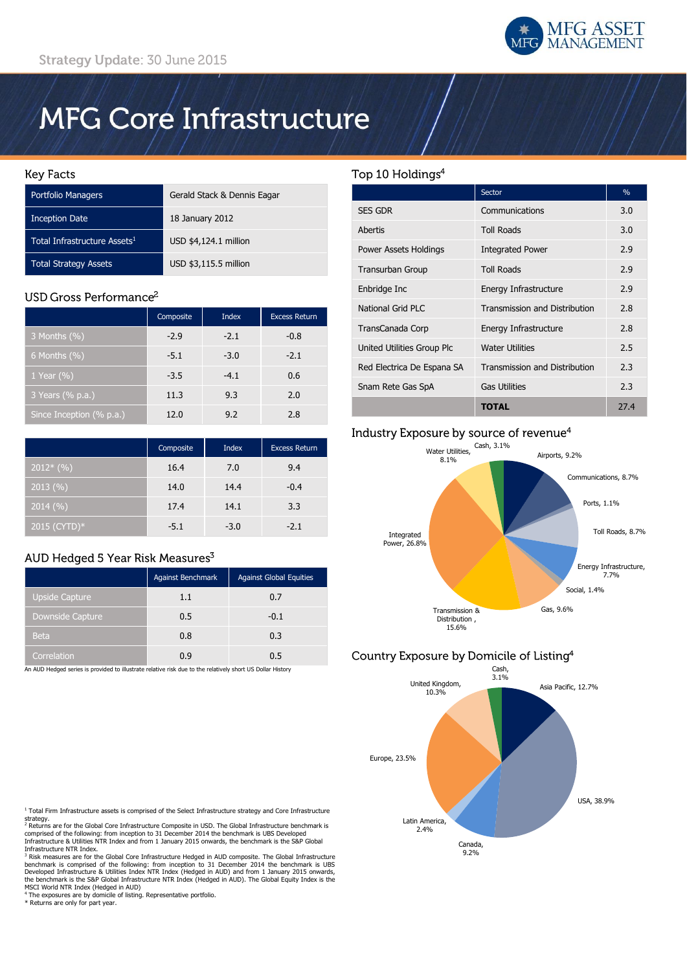

# **MFG Core Infrastructure**

#### **Key Facts**

| <b>Portfolio Managers</b>                | Gerald Stack & Dennis Eagar |
|------------------------------------------|-----------------------------|
| <b>Inception Date</b>                    | 18 January 2012             |
| Total Infrastructure Assets <sup>1</sup> | USD \$4,124.1 million       |
| <b>Total Strategy Assets</b>             | USD \$3,115.5 million       |

# USD Gross Performance<sup>2</sup>

|                          | Composite | <b>Index</b> | <b>Excess Return</b> |
|--------------------------|-----------|--------------|----------------------|
| 3 Months (%)             | $-2.9$    | $-2.1$       | $-0.8$               |
| 6 Months $(\%)$          | $-5.1$    | $-3.0$       | $-2.1$               |
| 1 Year $(\% )$           | $-3.5$    | $-4.1$       | 0.6                  |
| 3 Years (% p.a.)         | 11.3      | 9.3          | 2.0                  |
| Since Inception (% p.a.) | 12.0      | 9.2          | 2.8                  |

|              | Composite | <b>Index</b> | <b>Excess Return</b> |
|--------------|-----------|--------------|----------------------|
| $2012*(%)$   | 16.4      | 7.0          | 9.4                  |
| 2013(%)      | 14.0      | 14.4         | $-0.4$               |
| 2014(%)      | 17.4      | 14.1         | 3.3                  |
| 2015 (CYTD)* | $-5.1$    | $-3.0$       | $-2.1$               |

# AUD Hedged 5 Year Risk Measures<sup>3</sup>

|                       | Against Benchmark | <b>Against Global Equities</b> |
|-----------------------|-------------------|--------------------------------|
| <b>Upside Capture</b> | 1.1               | 0.7                            |
| Downside Capture      | 0.5               | $-0.1$                         |
| <b>Beta</b>           | 0.8               | 0.3                            |
| Correlation           | 0.9               | 0.5                            |

An AUD Hedged series is provided to illustrate relative risk due to the relatively short US Dollar History

# Top 10 Holdings<sup>4</sup>

|                            | Sector                        | $\%$ |
|----------------------------|-------------------------------|------|
| <b>SES GDR</b>             | Communications                | 3.0  |
| Abertis                    | <b>Toll Roads</b>             | 3.0  |
| Power Assets Holdings      | <b>Integrated Power</b>       | 2.9  |
| <b>Transurban Group</b>    | <b>Toll Roads</b>             | 2.9  |
| Enbridge Inc               | Energy Infrastructure         | 2.9  |
| National Grid PLC          | Transmission and Distribution | 2.8  |
| TransCanada Corp           | Energy Infrastructure         | 2.8  |
| United Utilities Group Plc | <b>Water Utilities</b>        | 2.5  |
| Red Electrica De Espana SA | Transmission and Distribution | 2.3  |
| Snam Rete Gas SpA          | <b>Gas Utilities</b>          | 2.3  |
|                            | TOTAL                         | 27.4 |

## Industry Exposure by source of revenue<sup>4</sup>



# Country Exposure by Domicile of Listing<sup>4</sup>



 $1$  Total Firm Infrastructure assets is comprised of the Select Infrastructure strategy and Core Infrastructure

strategy.<br><sup>2</sup> Returns are for the Global Core Infrastructure Composite in USD. The Global Infrastructure benchmark is comprised of the following: from inception to 31 December 2014 the benchmark is UBS Developed Infrastructure & Utilities NTR Index and from 1 January 2015 onwards, the benchmark is the S&P Global Infrastructure NTR Index.

<sup>3</sup> Risk measures are for the Global Core Infrastructure Hedged in AUD composite. The Global Infrastructure benchmark is comprised of the following: from inception to 31 December 2014 the benchmark is UBS Developed Infrast

<sup>4</sup> The exposures are by domicile of listing. Representative portfolio. \* Returns are only for part year.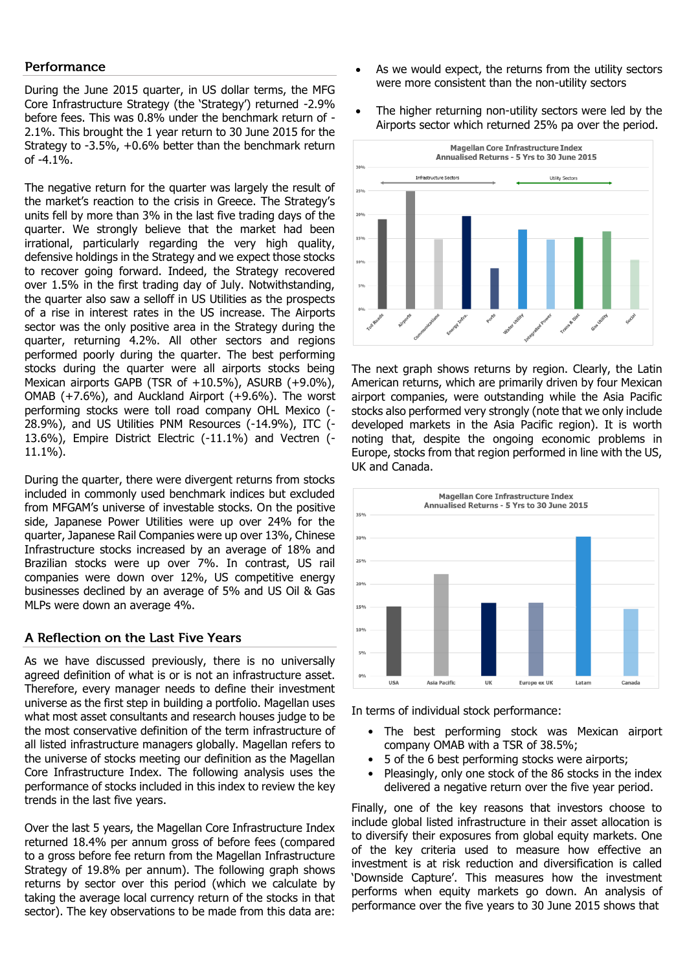### Performance

During the June 2015 quarter, in US dollar terms, the MFG Core Infrastructure Strategy (the 'Strategy') returned -2.9% before fees. This was 0.8% under the benchmark return of - 2.1%. This brought the 1 year return to 30 June 2015 for the Strategy to -3.5%, +0.6% better than the benchmark return of -4.1%.

The negative return for the quarter was largely the result of the market's reaction to the crisis in Greece. The Strategy's units fell by more than 3% in the last five trading days of the quarter. We strongly believe that the market had been irrational, particularly regarding the very high quality, defensive holdings in the Strategy and we expect those stocks to recover going forward. Indeed, the Strategy recovered over 1.5% in the first trading day of July. Notwithstanding, the quarter also saw a selloff in US Utilities as the prospects of a rise in interest rates in the US increase. The Airports sector was the only positive area in the Strategy during the quarter, returning 4.2%. All other sectors and regions performed poorly during the quarter. The best performing stocks during the quarter were all airports stocks being Mexican airports GAPB (TSR of +10.5%), ASURB (+9.0%), OMAB (+7.6%), and Auckland Airport (+9.6%). The worst performing stocks were toll road company OHL Mexico (-28.9%), and US Utilities PNM Resources (-14.9%), ITC (- 13.6%), Empire District Electric (-11.1%) and Vectren (- 11.1%).

During the quarter, there were divergent returns from stocks included in commonly used benchmark indices but excluded from MFGAM's universe of investable stocks. On the positive side, Japanese Power Utilities were up over 24% for the quarter, Japanese Rail Companies were up over 13%, Chinese Infrastructure stocks increased by an average of 18% and Brazilian stocks were up over 7%. In contrast, US rail companies were down over 12%, US competitive energy businesses declined by an average of 5% and US Oil & Gas MLPs were down an average 4%.

## A Reflection on the Last Five Years

As we have discussed previously, there is no universally agreed definition of what is or is not an infrastructure asset. Therefore, every manager needs to define their investment universe as the first step in building a portfolio. Magellan uses what most asset consultants and research houses judge to be the most conservative definition of the term infrastructure of all listed infrastructure managers globally. Magellan refers to the universe of stocks meeting our definition as the Magellan Core Infrastructure Index. The following analysis uses the performance of stocks included in this index to review the key trends in the last five years.

Over the last 5 years, the Magellan Core Infrastructure Index returned 18.4% per annum gross of before fees (compared to a gross before fee return from the Magellan Infrastructure Strategy of 19.8% per annum). The following graph shows returns by sector over this period (which we calculate by taking the average local currency return of the stocks in that sector). The key observations to be made from this data are:

- As we would expect, the returns from the utility sectors were more consistent than the non-utility sectors
- The higher returning non-utility sectors were led by the Airports sector which returned 25% pa over the period.



The next graph shows returns by region. Clearly, the Latin American returns, which are primarily driven by four Mexican airport companies, were outstanding while the Asia Pacific stocks also performed very strongly (note that we only include developed markets in the Asia Pacific region). It is worth noting that, despite the ongoing economic problems in Europe, stocks from that region performed in line with the US, UK and Canada.



In terms of individual stock performance:

- The best performing stock was Mexican airport company OMAB with a TSR of 38.5%;
- 5 of the 6 best performing stocks were airports;
- Pleasingly, only one stock of the 86 stocks in the index delivered a negative return over the five year period.

Finally, one of the key reasons that investors choose to include global listed infrastructure in their asset allocation is to diversify their exposures from global equity markets. One of the key criteria used to measure how effective an investment is at risk reduction and diversification is called 'Downside Capture'. This measures how the investment performs when equity markets go down. An analysis of performance over the five years to 30 June 2015 shows that